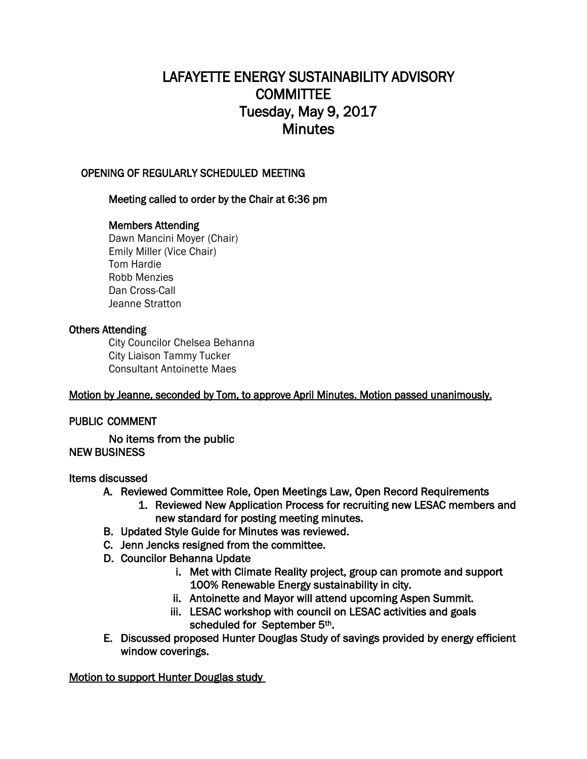# LAFAYETTE ENERGY SUSTAINABILITY ADVISORY **COMMITTEE** Tuesday, May 9, 2017 **Minutes**

## OPENING OF REGULARLY SCHEDULED MEETING

## Meeting called to order by the Chair at 6:36 pm

## Members Attending

Dawn Mancini Moyer (Chair) Emily Miller (Vice Chair) Tom Hardie Robb Menzies Dan Cross-Call Jeanne Stratton

#### Others Attending

City Councilor Chelsea Behanna City Liaison Tammy Tucker Consultant Antoinette Maes

#### Motion by Jeanne, seconded by Tom, to approve April Minutes. Motion passed unanimously.

#### PUBLIC COMMENT

No items from the public NEW BUSINESS

#### Items discussed

- A. Reviewed Committee Role, Open Meetings Law, Open Record Requirements
	- 1. Reviewed New Application Process for recruiting new LESAC members and new standard for posting meeting minutes.
- B. Updated Style Guide for Minutes was reviewed.
- C. Jenn Jencks resigned from the committee.
- D. Councilor Behanna Update
	- i. Met with Climate Reality project, group can promote and support 100% Renewable Energy sustainability in city.
	- ii. Antoinette and Mayor will attend upcoming Aspen Summit.
	- iii. LESAC workshop with council on LESAC activities and goals scheduled for September 5<sup>th</sup>.
- E. Discussed proposed Hunter Douglas Study of savings provided by energy efficient window coverings.

Motion to support Hunter Douglas study